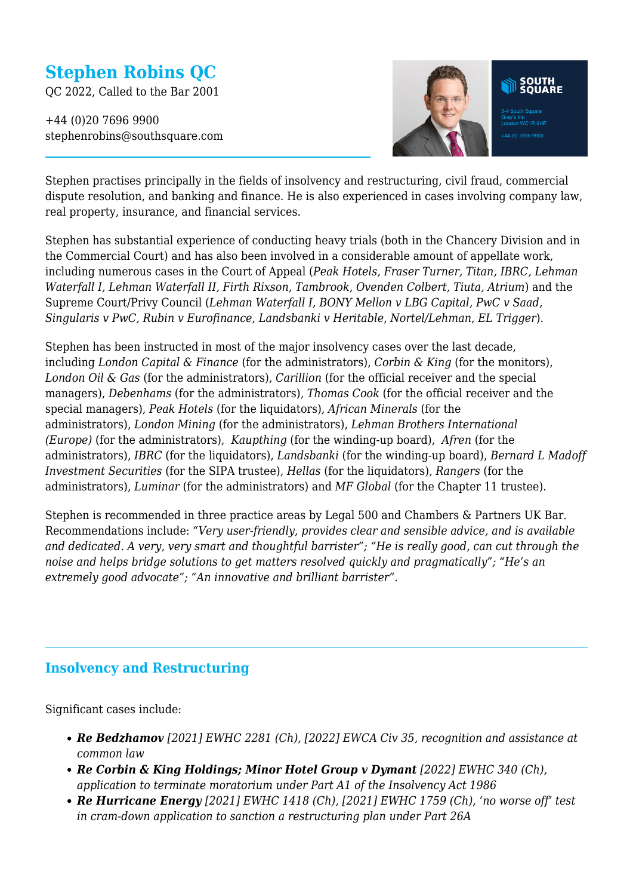# **Stephen Robins QC**

QC 2022, Called to the Bar 2001

+44 (0)20 7696 9900 stephenrobins@southsquare.com



Stephen practises principally in the fields of insolvency and restructuring, civil fraud, commercial dispute resolution, and banking and finance. He is also experienced in cases involving company law, real property, insurance, and financial services.

Stephen has substantial experience of conducting heavy trials (both in the Chancery Division and in the Commercial Court) and has also been involved in a considerable amount of appellate work, including numerous cases in the Court of Appeal (*Peak Hotels, Fraser Turner, Titan, IBRC, Lehman Waterfall I, Lehman Waterfall II, Firth Rixson*, *Tambrook*, *Ovenden Colbert, Tiuta, Atrium*) and the Supreme Court/Privy Council (*Lehman Waterfall I, BONY Mellon v LBG Capital, PwC v Saad, Singularis v PwC, Rubin v Eurofinance*, *Landsbanki v Heritable*, *Nortel/Lehman*, *EL Trigger*).

Stephen has been instructed in most of the major insolvency cases over the last decade, including *London Capital & Finance* (for the administrators), *Corbin & King* (for the monitors), *London Oil & Gas* (for the administrators), *Carillion* (for the official receiver and the special managers), *Debenhams* (for the administrators), *Thomas Cook* (for the official receiver and the special managers), *Peak Hotels* (for the liquidators), *African Minerals* (for the administrators), *London Mining* (for the administrators), *Lehman Brothers International (Europe)* (for the administrators), *Kaupthing* (for the winding-up board), *Afren* (for the administrators), *IBRC* (for the liquidators), *Landsbanki* (for the winding-up board), *Bernard L Madoff Investment Securities* (for the SIPA trustee), *Hellas* (for the liquidators), *Rangers* (for the administrators), *Luminar* (for the administrators) and *MF Global* (for the Chapter 11 trustee).

Stephen is recommended in three practice areas by Legal 500 and Chambers & Partners UK Bar. Recommendations include: *"Very user-friendly, provides clear and sensible advice, and is available and dedicated. A very, very smart and thoughtful barrister"; "He is really good, can cut through the noise and helps bridge solutions to get matters resolved quickly and pragmatically"; "He's an extremely good advocate"; "An innovative and brilliant barrister".*

### **Insolvency and Restructuring**

Significant cases include:

- *Re Bedzhamov [2021] EWHC 2281 (Ch), [2022] EWCA Civ 35, recognition and assistance at common law*
- *Re Corbin & King Holdings; Minor Hotel Group v Dymant [2022] EWHC 340 (Ch), application to terminate moratorium under Part A1 of the Insolvency Act 1986*
- *Re Hurricane Energy [2021] EWHC 1418 (Ch), [2021] EWHC 1759 (Ch), 'no worse off' test in cram-down application to sanction a restructuring plan under Part 26A*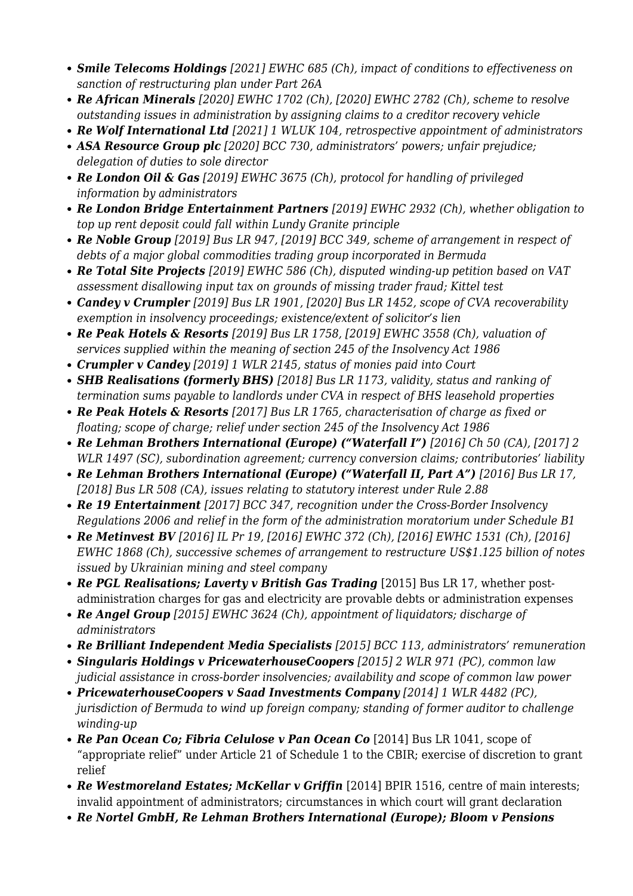- *Smile Telecoms Holdings [2021] EWHC 685 (Ch), impact of conditions to effectiveness on sanction of restructuring plan under Part 26A*
- *Re African Minerals [2020] EWHC 1702 (Ch), [2020] EWHC 2782 (Ch), scheme to resolve outstanding issues in administration by assigning claims to a creditor recovery vehicle*
- *Re Wolf International Ltd [2021] 1 WLUK 104, retrospective appointment of administrators*
- *ASA Resource Group plc [2020] BCC 730, administrators' powers; unfair prejudice; delegation of duties to sole director*
- *Re London Oil & Gas [2019] EWHC 3675 (Ch), protocol for handling of privileged information by administrators*
- *Re London Bridge Entertainment Partners [2019] EWHC 2932 (Ch), whether obligation to top up rent deposit could fall within Lundy Granite principle*
- *Re Noble Group [2019] Bus LR 947, [2019] BCC 349, scheme of arrangement in respect of debts of a major global commodities trading group incorporated in Bermuda*
- *Re Total Site Projects [2019] EWHC 586 (Ch), disputed winding-up petition based on VAT assessment disallowing input tax on grounds of missing trader fraud; Kittel test*
- *Candey v Crumpler [2019] Bus LR 1901, [2020] Bus LR 1452, scope of CVA recoverability exemption in insolvency proceedings; existence/extent of solicitor's lien*
- *Re Peak Hotels & Resorts [2019] Bus LR 1758, [2019] EWHC 3558 (Ch), valuation of services supplied within the meaning of section 245 of the Insolvency Act 1986*
- *Crumpler v Candey [2019] 1 WLR 2145, status of monies paid into Court*
- *SHB Realisations (formerly BHS) [2018] Bus LR 1173, validity, status and ranking of termination sums payable to landlords under CVA in respect of BHS leasehold properties*
- *Re Peak Hotels & Resorts [2017] Bus LR 1765, characterisation of charge as fixed or floating; scope of charge; relief under section 245 of the Insolvency Act 1986*
- Re Lehman Brothers International (Europe) ("Waterfall I") [2016] Ch 50 (CA), [2017] 2 *WLR 1497 (SC), subordination agreement; currency conversion claims; contributories' liability*
- Re Lehman Brothers International (Europe) ("Waterfall II, Part A") [2016] Bus LR 17, *[2018] Bus LR 508 (CA), issues relating to statutory interest under Rule 2.88*
- *Re 19 Entertainment [2017] BCC 347, recognition under the Cross-Border Insolvency Regulations 2006 and relief in the form of the administration moratorium under Schedule B1*
- *Re Metinvest BV [2016] IL Pr 19, [2016] EWHC 372 (Ch), [2016] EWHC 1531 (Ch), [2016] EWHC 1868 (Ch), successive schemes of arrangement to restructure US\$1.125 billion of notes issued by Ukrainian mining and steel company*
- Re PGL Realisations; Laverty v British Gas Trading [2015] Bus LR 17, whether postadministration charges for gas and electricity are provable debts or administration expenses
- *Re Angel Group [2015] EWHC 3624 (Ch), appointment of liquidators; discharge of administrators*
- *Re Brilliant Independent Media Specialists [2015] BCC 113, administrators' remuneration*
- *Singularis Holdings v PricewaterhouseCoopers [2015] 2 WLR 971 (PC), common law judicial assistance in cross-border insolvencies; availability and scope of common law power*
- *PricewaterhouseCoopers v Saad Investments Company [2014] 1 WLR 4482 (PC), jurisdiction of Bermuda to wind up foreign company; standing of former auditor to challenge winding-up*
- Re Pan Ocean Co; Fibria Celulose v Pan Ocean Co [2014] Bus LR 1041, scope of "appropriate relief" under Article 21 of Schedule 1 to the CBIR; exercise of discretion to grant relief
- *Re Westmoreland Estates; McKellar v Griffin* [2014] BPIR 1516, centre of main interests; invalid appointment of administrators; circumstances in which court will grant declaration
- *Re Nortel GmbH, Re Lehman Brothers International (Europe); Bloom v Pensions*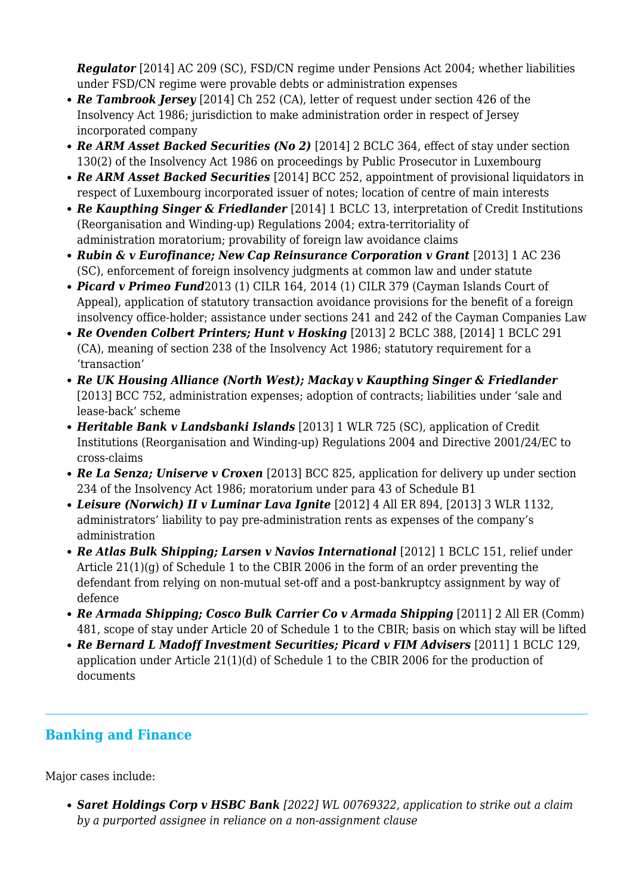*Regulator* [2014] AC 209 (SC), FSD/CN regime under Pensions Act 2004; whether liabilities under FSD/CN regime were provable debts or administration expenses

- *Re Tambrook Jersey* [2014] Ch 252 (CA), letter of request under section 426 of the Insolvency Act 1986; jurisdiction to make administration order in respect of Jersey incorporated company
- *Re ARM Asset Backed Securities (No 2)* [2014] 2 BCLC 364, effect of stay under section 130(2) of the Insolvency Act 1986 on proceedings by Public Prosecutor in Luxembourg
- *Re ARM Asset Backed Securities* [2014] BCC 252, appointment of provisional liquidators in respect of Luxembourg incorporated issuer of notes; location of centre of main interests
- *Re Kaupthing Singer & Friedlander* [2014] 1 BCLC 13, interpretation of Credit Institutions (Reorganisation and Winding-up) Regulations 2004; extra-territoriality of administration moratorium; provability of foreign law avoidance claims
- Rubin & v Eurofinance; New Cap Reinsurance Corporation v Grant [2013] 1 AC 236 (SC), enforcement of foreign insolvency judgments at common law and under statute
- *Picard v Primeo Fund*2013 (1) CILR 164, 2014 (1) CILR 379 (Cayman Islands Court of Appeal), application of statutory transaction avoidance provisions for the benefit of a foreign insolvency office-holder; assistance under sections 241 and 242 of the Cayman Companies Law
- *Re Ovenden Colbert Printers; Hunt v Hosking* [2013] 2 BCLC 388, [2014] 1 BCLC 291 (CA), meaning of section 238 of the Insolvency Act 1986; statutory requirement for a 'transaction'
- *Re UK Housing Alliance (North West); Mackay v Kaupthing Singer & Friedlander* [2013] BCC 752, administration expenses; adoption of contracts; liabilities under 'sale and lease-back' scheme
- *Heritable Bank v Landsbanki Islands* [2013] 1 WLR 725 (SC), application of Credit Institutions (Reorganisation and Winding-up) Regulations 2004 and Directive 2001/24/EC to cross-claims
- *Re La Senza; Uniserve v Croxen* [2013] BCC 825, application for delivery up under section 234 of the Insolvency Act 1986; moratorium under para 43 of Schedule B1
- *Leisure (Norwich) II v Luminar Lava Ignite* [2012] 4 All ER 894, [2013] 3 WLR 1132, administrators' liability to pay pre-administration rents as expenses of the company's administration
- Re Atlas Bulk Shipping; Larsen v Navios International [2012] 1 BCLC 151, relief under Article  $21(1)(q)$  of Schedule 1 to the CBIR 2006 in the form of an order preventing the defendant from relying on non-mutual set-off and a post-bankruptcy assignment by way of defence
- *Re Armada Shipping; Cosco Bulk Carrier Co v Armada Shipping* [2011] 2 All ER (Comm) 481, scope of stay under Article 20 of Schedule 1 to the CBIR; basis on which stay will be lifted
- Re Bernard L Madoff Investment Securities; Picard v FIM Advisers [2011] 1 BCLC 129. application under Article 21(1)(d) of Schedule 1 to the CBIR 2006 for the production of documents

# **Banking and Finance**

Major cases include:

*Saret Holdings Corp v HSBC Bank [2022] WL 00769322, application to strike out a claim by a purported assignee in reliance on a non-assignment clause*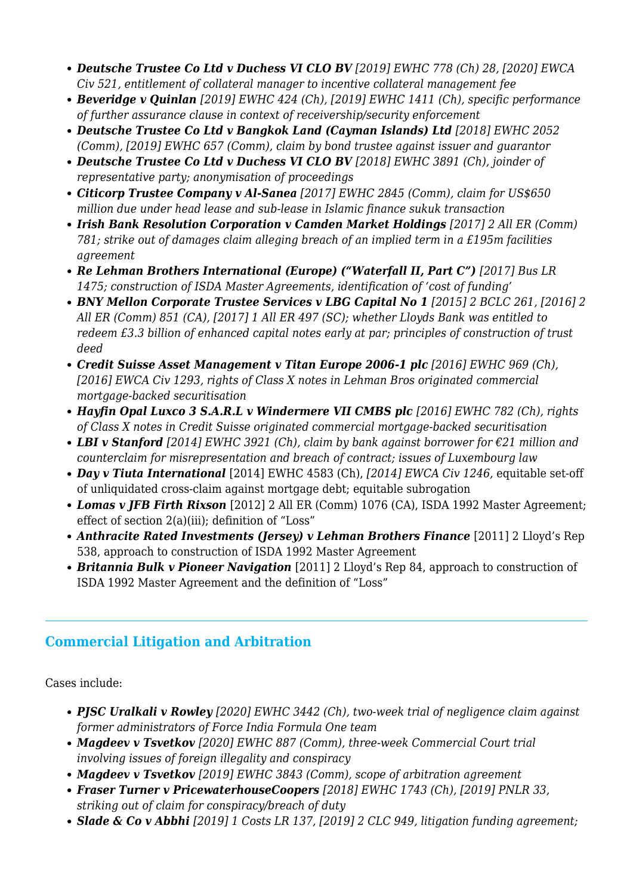- *Deutsche Trustee Co Ltd v Duchess VI CLO BV [2019] EWHC 778 (Ch) 28, [2020] EWCA Civ 521, entitlement of collateral manager to incentive collateral management fee*
- *Beveridge v Quinlan [2019] EWHC 424 (Ch), [2019] EWHC 1411 (Ch), specific performance of further assurance clause in context of receivership/security enforcement*
- *Deutsche Trustee Co Ltd v Bangkok Land (Cayman Islands) Ltd [2018] EWHC 2052 (Comm), [2019] EWHC 657 (Comm), claim by bond trustee against issuer and guarantor*
- *Deutsche Trustee Co Ltd v Duchess VI CLO BV [2018] EWHC 3891 (Ch), joinder of representative party; anonymisation of proceedings*
- *Citicorp Trustee Company v Al-Sanea [2017] EWHC 2845 (Comm), claim for US\$650 million due under head lease and sub-lease in Islamic finance sukuk transaction*
- *Irish Bank Resolution Corporation v Camden Market Holdings [2017] 2 All ER (Comm) 781; strike out of damages claim alleging breach of an implied term in a £195m facilities agreement*
- Re Lehman Brothers International (Europe) ("Waterfall II, Part C") [2017] Bus LR *1475; construction of ISDA Master Agreements, identification of 'cost of funding'*
- *BNY Mellon Corporate Trustee Services v LBG Capital No 1 [2015] 2 BCLC 261, [2016] 2 All ER (Comm) 851 (CA), [2017] 1 All ER 497 (SC); whether Lloyds Bank was entitled to redeem £3.3 billion of enhanced capital notes early at par; principles of construction of trust deed*
- *Credit Suisse Asset Management v Titan Europe 2006-1 plc [2016] EWHC 969 (Ch), [2016] EWCA Civ 1293, rights of Class X notes in Lehman Bros originated commercial mortgage-backed securitisation*
- *Hayfin Opal Luxco 3 S.A.R.L v Windermere VII CMBS plc [2016] EWHC 782 (Ch), rights of Class X notes in Credit Suisse originated commercial mortgage-backed securitisation*
- *LBI v Stanford [2014] EWHC 3921 (Ch), claim by bank against borrower for €21 million and counterclaim for misrepresentation and breach of contract; issues of Luxembourg law*
- *Day v Tiuta International* [2014] EWHC 4583 (Ch), *[2014] EWCA Civ 1246,* equitable set-off of unliquidated cross-claim against mortgage debt; equitable subrogation
- *Lomas v JFB Firth Rixson* [2012] 2 All ER (Comm) 1076 (CA), ISDA 1992 Master Agreement; effect of section 2(a)(iii); definition of "Loss"
- **Anthracite Rated Investments (Jersey) v Lehman Brothers Finance** [2011] 2 Lloyd's Rep 538, approach to construction of ISDA 1992 Master Agreement
- *Britannia Bulk v Pioneer Navigation* [2011] 2 Lloyd's Rep 84, approach to construction of ISDA 1992 Master Agreement and the definition of "Loss"

# **Commercial Litigation and Arbitration**

Cases include:

- *PJSC Uralkali v Rowley [2020] EWHC 3442 (Ch), two-week trial of negligence claim against former administrators of Force India Formula One team*
- *Magdeev v Tsvetkov [2020] EWHC 887 (Comm), three-week Commercial Court trial involving issues of foreign illegality and conspiracy*
- *Magdeev v Tsvetkov [2019] EWHC 3843 (Comm), scope of arbitration agreement*
- *Fraser Turner v PricewaterhouseCoopers [2018] EWHC 1743 (Ch), [2019] PNLR 33, striking out of claim for conspiracy/breach of duty*
- *Slade & Co v Abbhi [2019] 1 Costs LR 137, [2019] 2 CLC 949, litigation funding agreement;*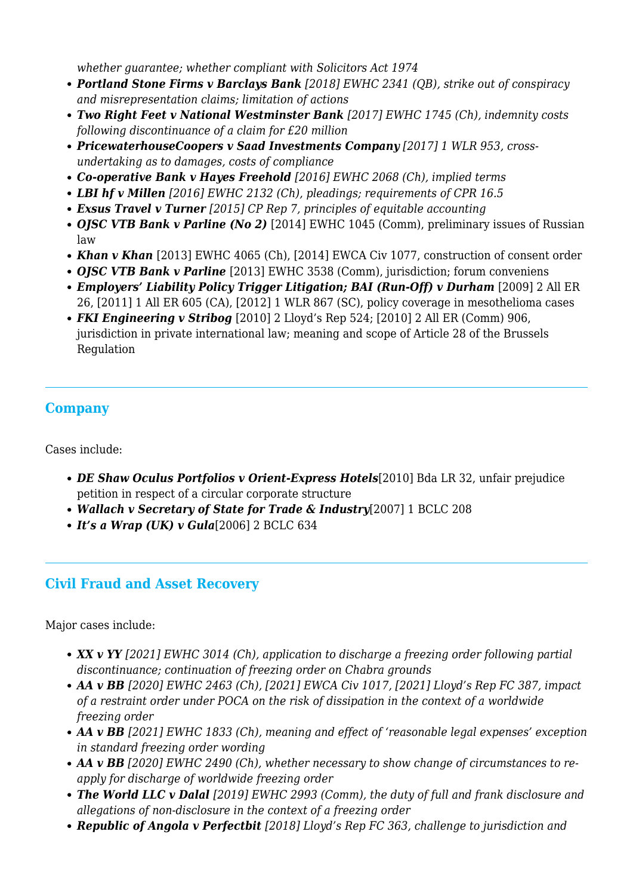*whether guarantee; whether compliant with Solicitors Act 1974*

- *Portland Stone Firms v Barclays Bank [2018] EWHC 2341 (QB), strike out of conspiracy and misrepresentation claims; limitation of actions*
- *Two Right Feet v National Westminster Bank [2017] EWHC 1745 (Ch), indemnity costs following discontinuance of a claim for £20 million*
- *PricewaterhouseCoopers v Saad Investments Company [2017] 1 WLR 953, crossundertaking as to damages, costs of compliance*
- *Co-operative Bank v Hayes Freehold [2016] EWHC 2068 (Ch), implied terms*
- *LBI hf v Millen [2016] EWHC 2132 (Ch), pleadings; requirements of CPR 16.5*
- *Exsus Travel v Turner [2015] CP Rep 7, principles of equitable accounting*
- OJSC VTB Bank v Parline (No 2) [2014] EWHC 1045 (Comm), preliminary issues of Russian law
- Khan v Khan [2013] EWHC 4065 (Ch), [2014] EWCA Civ 1077, construction of consent order
- *OJSC VTB Bank v Parline* [2013] EWHC 3538 (Comm), jurisdiction; forum conveniens
- *Employers' Liability Policy Trigger Litigation; BAI (Run-Off) v Durham* [2009] 2 All ER 26, [2011] 1 All ER 605 (CA), [2012] 1 WLR 867 (SC), policy coverage in mesothelioma cases
- *FKI Engineering v Stribog* [2010] 2 Lloyd's Rep 524; [2010] 2 All ER (Comm) 906, jurisdiction in private international law; meaning and scope of Article 28 of the Brussels Regulation

## **Company**

Cases include:

- *DE Shaw Oculus Portfolios v Orient-Express Hotels*[2010] Bda LR 32, unfair prejudice petition in respect of a circular corporate structure
- *Wallach v Secretary of State for Trade & Industry*[2007] 1 BCLC 208
- *It's a Wrap (UK) v Gula*[2006] 2 BCLC 634

## **Civil Fraud and Asset Recovery**

Major cases include:

- *XX v YY [2021] EWHC 3014 (Ch), application to discharge a freezing order following partial discontinuance; continuation of freezing order on Chabra grounds*
- *AA v BB [2020] EWHC 2463 (Ch), [2021] EWCA Civ 1017, [2021] Lloyd's Rep FC 387, impact of a restraint order under POCA on the risk of dissipation in the context of a worldwide freezing order*
- *AA v BB [2021] EWHC 1833 (Ch), meaning and effect of 'reasonable legal expenses' exception in standard freezing order wording*
- **AA v BB** [2020] EWHC 2490 (Ch), whether necessary to show change of circumstances to re*apply for discharge of worldwide freezing order*
- *The World LLC v Dalal [2019] EWHC 2993 (Comm), the duty of full and frank disclosure and allegations of non-disclosure in the context of a freezing order*
- *Republic of Angola v Perfectbit [2018] Lloyd's Rep FC 363, challenge to jurisdiction and*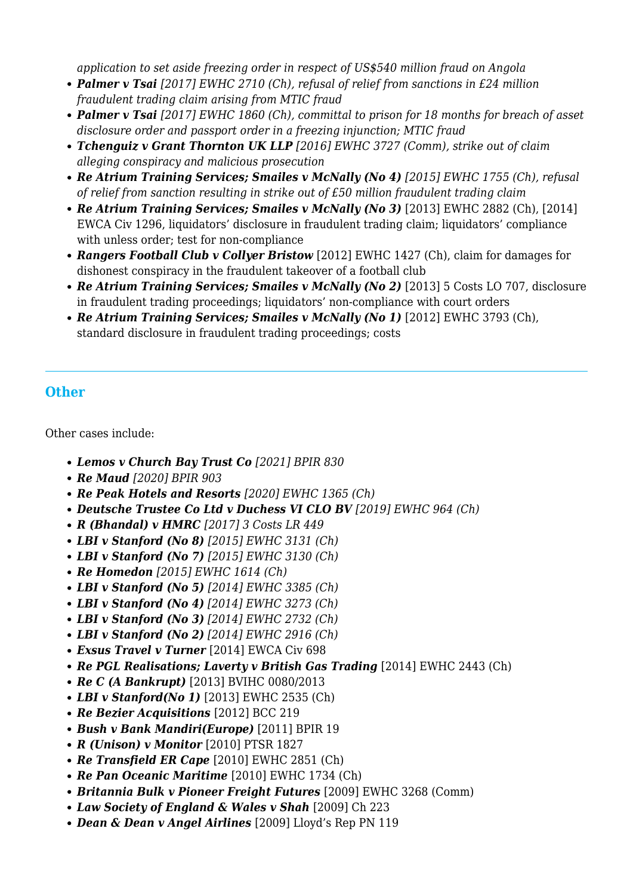*application to set aside freezing order in respect of US\$540 million fraud on Angola*

- *Palmer v Tsai [2017] EWHC 2710 (Ch), refusal of relief from sanctions in £24 million fraudulent trading claim arising from MTIC fraud*
- *Palmer v Tsai [2017] EWHC 1860 (Ch), committal to prison for 18 months for breach of asset disclosure order and passport order in a freezing injunction; MTIC fraud*
- *Tchenguiz v Grant Thornton UK LLP [2016] EWHC 3727 (Comm), strike out of claim alleging conspiracy and malicious prosecution*
- *Re Atrium Training Services; Smailes v McNally (No 4) [2015] EWHC 1755 (Ch), refusal of relief from sanction resulting in strike out of £50 million fraudulent trading claim*
- Re Atrium Training Services; Smailes v McNally (No 3) [2013] EWHC 2882 (Ch), [2014] EWCA Civ 1296, liquidators' disclosure in fraudulent trading claim; liquidators' compliance with unless order; test for non-compliance
- *Rangers Football Club v Collyer Bristow* [2012] EWHC 1427 (Ch), claim for damages for dishonest conspiracy in the fraudulent takeover of a football club
- Re Atrium Training Services; Smailes v McNally (No 2) [2013] 5 Costs LO 707, disclosure in fraudulent trading proceedings; liquidators' non-compliance with court orders
- Re Atrium Training Services; Smailes v McNally (No 1) [2012] EWHC 3793 (Ch), standard disclosure in fraudulent trading proceedings; costs

# **Other**

Other cases include:

- *Lemos v Church Bay Trust Co [2021] BPIR 830*
- *Re Maud [2020] BPIR 903*
- *Re Peak Hotels and Resorts [2020] EWHC 1365 (Ch)*
- *Deutsche Trustee Co Ltd v Duchess VI CLO BV [2019] EWHC 964 (Ch)*
- *R (Bhandal) v HMRC [2017] 3 Costs LR 449*
- *LBI v Stanford (No 8) [2015] EWHC 3131 (Ch)*
- *LBI v Stanford (No 7) [2015] EWHC 3130 (Ch)*
- *Re Homedon [2015] EWHC 1614 (Ch)*
- *LBI v Stanford (No 5) [2014] EWHC 3385 (Ch)*
- *LBI v Stanford (No 4) [2014] EWHC 3273 (Ch)*
- *LBI v Stanford (No 3) [2014] EWHC 2732 (Ch)*
- *LBI v Stanford (No 2) [2014] EWHC 2916 (Ch)*
- *Exsus Travel v Turner* [2014] EWCA Civ 698
- Re PGL Realisations; Laverty v British Gas Trading [2014] EWHC 2443 (Ch)
- Re C (A Bankrupt) [2013] BVIHC 0080/2013
- LBI v Stanford(No 1) [2013] EWHC 2535 (Ch)
- *Re Bezier Acquisitions* [2012] BCC 219
- *Bush v Bank Mandiri(Europe)* [2011] BPIR 19
- *R (Unison) v Monitor* [2010] PTSR 1827
- *Re Transfield ER Cape* [2010] EWHC 2851 (Ch)
- *Re Pan Oceanic Maritime* [2010] EWHC 1734 (Ch)
- *Britannia Bulk v Pioneer Freight Futures* [2009] EWHC 3268 (Comm)
- *Law Society of England & Wales v Shah* [2009] Ch 223
- *Dean & Dean v Angel Airlines* [2009] Lloyd's Rep PN 119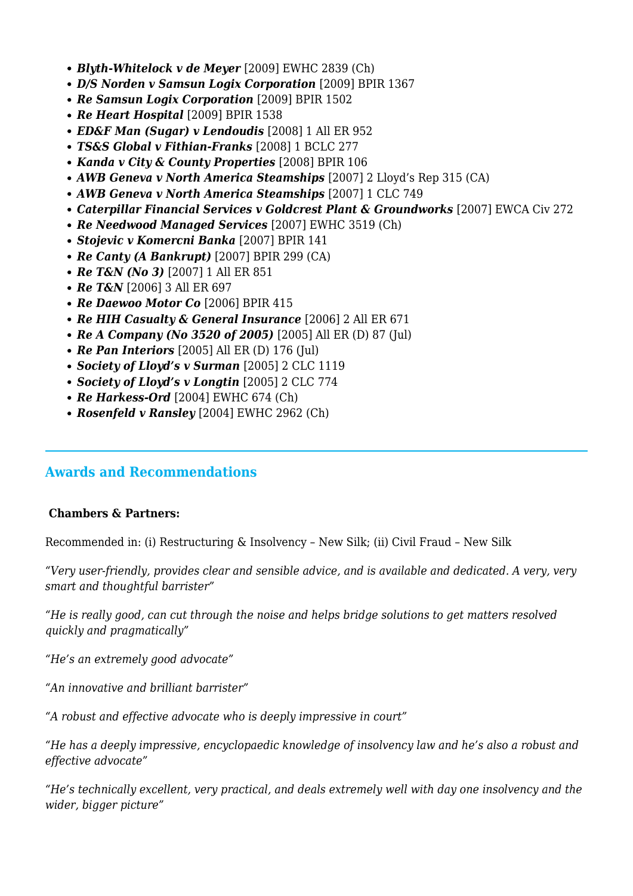- *Blyth-Whitelock v de Meyer* [2009] EWHC 2839 (Ch)
- *D/S Norden v Samsun Logix Corporation* [2009] BPIR 1367
- *Re Samsun Logix Corporation* [2009] BPIR 1502
- Re Heart Hospital [2009] BPIR 1538
- *ED&F Man (Sugar) v Lendoudis* [2008] 1 All ER 952
- *TS&S Global v Fithian-Franks* [2008] 1 BCLC 277
- *Kanda v City & County Properties* [2008] BPIR 106
- *AWB Geneva v North America Steamships* [2007] 2 Lloyd's Rep 315 (CA)
- *AWB Geneva v North America Steamships* [2007] 1 CLC 749
- *Caterpillar Financial Services v Goldcrest Plant & Groundworks* [2007] EWCA Civ 272
- *Re Needwood Managed Services* [2007] EWHC 3519 (Ch)
- *Stojevic v Komercni Banka* [2007] BPIR 141
- *Re Canty (A Bankrupt)* [2007] BPIR 299 (CA)
- **Re T&N (No 3)** [2007] 1 All ER 851
- *Re T&N* [2006] 3 All ER 697
- *Re Daewoo Motor Co* [2006] BPIR 415
- *Re HIH Casualty & General Insurance* [2006] 2 All ER 671
- **Re A Company (No 3520 of 2005)** [2005] All ER (D) 87 (Jul)
- **Re Pan Interiors** [2005] All ER (D) 176 (Jul)
- *Society of Lloyd's v Surman* [2005] 2 CLC 1119
- *Society of Lloyd's v Longtin* [2005] 2 CLC 774
- Re Harkess-Ord [2004] EWHC 674 (Ch)
- *Rosenfeld v Ransley* [2004] EWHC 2962 (Ch)

#### **Awards and Recommendations**

#### **Chambers & Partners:**

Recommended in: (i) Restructuring & Insolvency – New Silk; (ii) Civil Fraud – New Silk

*"Very user-friendly, provides clear and sensible advice, and is available and dedicated. A very, very smart and thoughtful barrister"*

*"He is really good, can cut through the noise and helps bridge solutions to get matters resolved quickly and pragmatically"*

*"He's an extremely good advocate"*

*"An innovative and brilliant barrister"*

*"A robust and effective advocate who is deeply impressive in court"*

*"He has a deeply impressive, encyclopaedic knowledge of insolvency law and he's also a robust and effective advocate"*

*"He's technically excellent, very practical, and deals extremely well with day one insolvency and the wider, bigger picture"*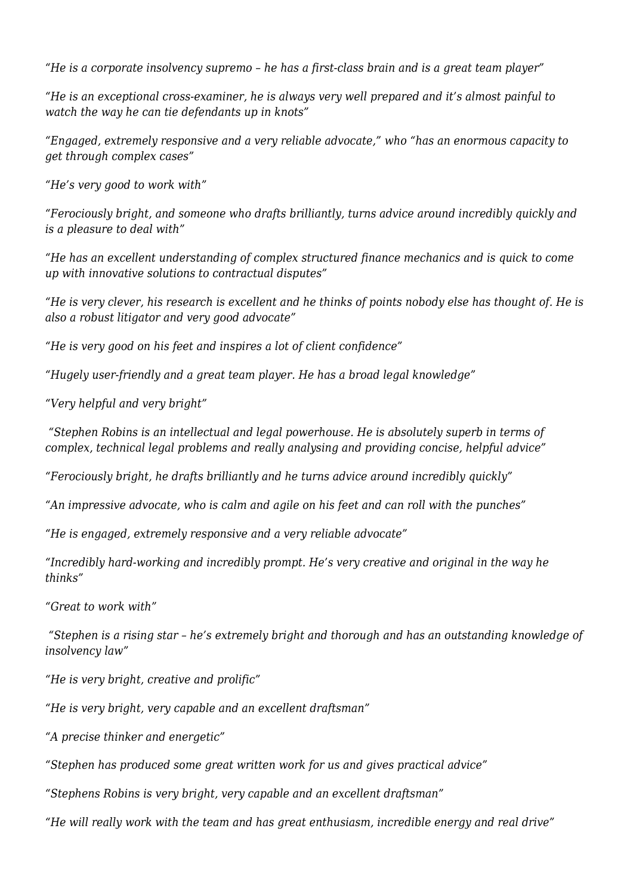*"He is a corporate insolvency supremo – he has a first-class brain and is a great team player"*

*"He is an exceptional cross-examiner, he is always very well prepared and it's almost painful to watch the way he can tie defendants up in knots"*

*"Engaged, extremely responsive and a very reliable advocate," who "has an enormous capacity to get through complex cases"*

*"He's very good to work with"*

*"Ferociously bright, and someone who drafts brilliantly, turns advice around incredibly quickly and is a pleasure to deal with"*

*"He has an excellent understanding of complex structured finance mechanics and is quick to come up with innovative solutions to contractual disputes"*

*"He is very clever, his research is excellent and he thinks of points nobody else has thought of. He is also a robust litigator and very good advocate"*

*"He is very good on his feet and inspires a lot of client confidence"*

*"Hugely user-friendly and a great team player. He has a broad legal knowledge"*

*"Very helpful and very bright"*

 *"Stephen Robins is an intellectual and legal powerhouse. He is absolutely superb in terms of complex, technical legal problems and really analysing and providing concise, helpful advice"*

*"Ferociously bright, he drafts brilliantly and he turns advice around incredibly quickly"*

*"An impressive advocate, who is calm and agile on his feet and can roll with the punches"*

*"He is engaged, extremely responsive and a very reliable advocate"*

*"Incredibly hard-working and incredibly prompt. He's very creative and original in the way he thinks"*

*"Great to work with"*

 *"Stephen is a rising star – he's extremely bright and thorough and has an outstanding knowledge of insolvency law"*

*"He is very bright, creative and prolific"*

*"He is very bright, very capable and an excellent draftsman"*

*"A precise thinker and energetic"*

*"Stephen has produced some great written work for us and gives practical advice"*

*"Stephens Robins is very bright, very capable and an excellent draftsman"*

*"He will really work with the team and has great enthusiasm, incredible energy and real drive"*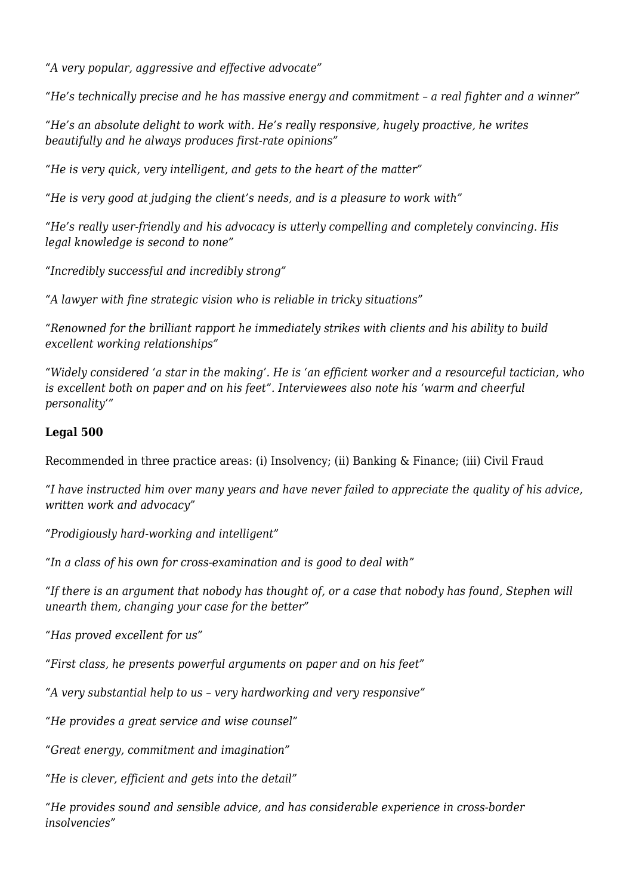*"A very popular, aggressive and effective advocate"*

*"He's technically precise and he has massive energy and commitment – a real fighter and a winner"*

*"He's an absolute delight to work with. He's really responsive, hugely proactive, he writes beautifully and he always produces first-rate opinions"*

*"He is very quick, very intelligent, and gets to the heart of the matter"* 

*"He is very good at judging the client's needs, and is a pleasure to work with"*

*"He's really user-friendly and his advocacy is utterly compelling and completely convincing. His legal knowledge is second to none"*

*"Incredibly successful and incredibly strong"*

*"A lawyer with fine strategic vision who is reliable in tricky situations"*

*"Renowned for the brilliant rapport he immediately strikes with clients and his ability to build excellent working relationships"*

*"Widely considered 'a star in the making'. He is 'an efficient worker and a resourceful tactician, who is excellent both on paper and on his feet". Interviewees also note his 'warm and cheerful personality'"*

#### **Legal 500**

Recommended in three practice areas: (i) Insolvency; (ii) Banking & Finance; (iii) Civil Fraud

*"I have instructed him over many years and have never failed to appreciate the quality of his advice, written work and advocacy"*

*"Prodigiously hard-working and intelligent"*

*"In a class of his own for cross-examination and is good to deal with"*

*"If there is an argument that nobody has thought of, or a case that nobody has found, Stephen will unearth them, changing your case for the better"*

*"Has proved excellent for us"*

*"First class, he presents powerful arguments on paper and on his feet"*

*"A very substantial help to us – very hardworking and very responsive"*

*"He provides a great service and wise counsel"*

*"Great energy, commitment and imagination"*

*"He is clever, efficient and gets into the detail"*

*"He provides sound and sensible advice, and has considerable experience in cross-border insolvencies"*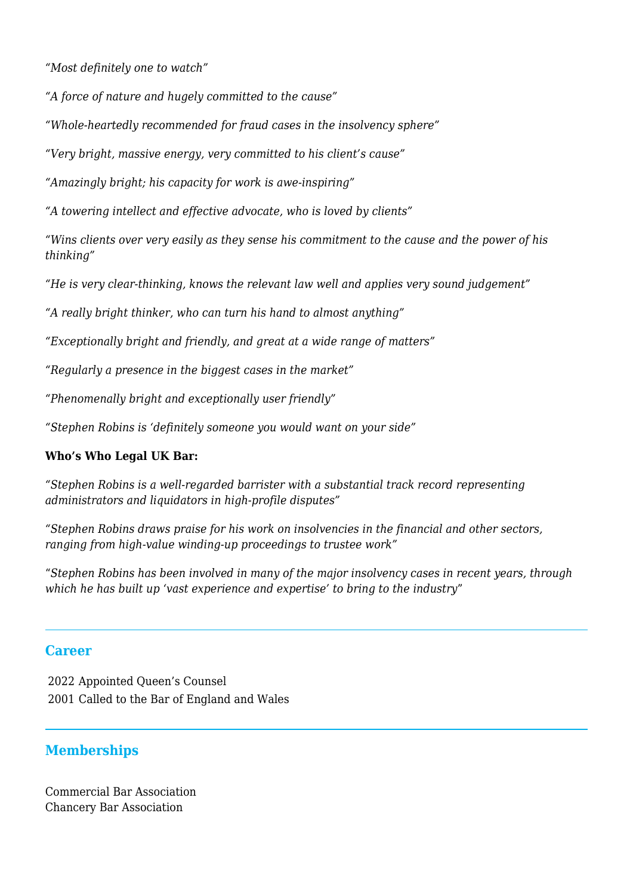*"Most definitely one to watch"*

*"A force of nature and hugely committed to the cause"*

*"Whole-heartedly recommended for fraud cases in the insolvency sphere"*

*"Very bright, massive energy, very committed to his client's cause"*

*"Amazingly bright; his capacity for work is awe-inspiring"*

*"A towering intellect and effective advocate, who is loved by clients"*

*"Wins clients over very easily as they sense his commitment to the cause and the power of his thinking"*

*"He is very clear-thinking, knows the relevant law well and applies very sound judgement"*

*"A really bright thinker, who can turn his hand to almost anything"*

*"Exceptionally bright and friendly, and great at a wide range of matters"*

*"Regularly a presence in the biggest cases in the market"*

*"Phenomenally bright and exceptionally user friendly"*

*"Stephen Robins is 'definitely someone you would want on your side"*

#### **Who's Who Legal UK Bar:**

*"Stephen Robins is a well-regarded barrister with a substantial track record representing administrators and liquidators in high-profile disputes"*

*"Stephen Robins draws praise for his work on insolvencies in the financial and other sectors, ranging from high-value winding-up proceedings to trustee work"*

"*Stephen Robins has been involved in many of the major insolvency cases in recent years, through which he has built up 'vast experience and expertise' to bring to the industry*"

#### **Career**

2022 Appointed Queen's Counsel 2001 Called to the Bar of England and Wales

### **Memberships**

Commercial Bar Association Chancery Bar Association